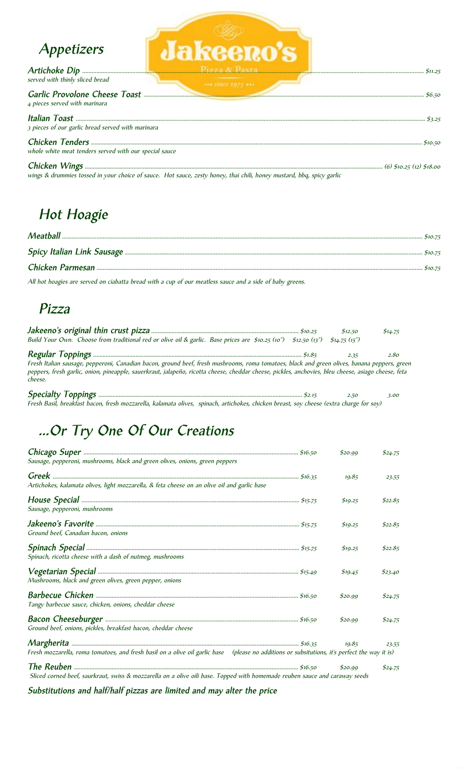| Appetizers                                             | <b>Jakeeno's</b>                                                                                                      |         |
|--------------------------------------------------------|-----------------------------------------------------------------------------------------------------------------------|---------|
| served with thinly sliced bread                        | $+100$ states 1975 **                                                                                                 | \$11.25 |
| 4 pieces served with marinara                          |                                                                                                                       |         |
| 3 pieces of our garlic bread served with marinara      |                                                                                                                       |         |
| whole white meat tenders served with our special sauce |                                                                                                                       |         |
|                                                        | wings & drummies tossed in your choice of sauce. Hot sauce, zesty honey, thai chili, honey mustard, bbq, spicy garlic |         |

Hot Hoagie

All hot hoagies are served on ciabatta bread with a cup of our meatless sauce and a side of baby greens.

### Pizza

|                                                                                                                                                                                                                                                                                                                | \$12.50      | \$14.75 |
|----------------------------------------------------------------------------------------------------------------------------------------------------------------------------------------------------------------------------------------------------------------------------------------------------------------|--------------|---------|
| Build Your Own. Choose from traditional red or olive oil & garlic. Base prices are $$10.25$ (10") $$12.50$ (13")                                                                                                                                                                                               | \$14.75(15") |         |
|                                                                                                                                                                                                                                                                                                                | 2.35         | 2.80    |
| Fresh Italian sausage, pepperoni, Canadian bacon, ground beef, fresh mushrooms, roma tomatoes, black and green olives, banana peppers, green<br>peppers, fresh garlic, onion, pineapple, sauerkraut, jalapeño, ricotta cheese, cheddar cheese, pickles, anchovies, bleu cheese, asiago cheese, feta<br>cheese. |              |         |
|                                                                                                                                                                                                                                                                                                                | 2.50         | 3.00    |

Fresh Basil, breakfast bacon, fresh mozzarella, kalamata olives, spinach, artichokes, chicken breast, soy cheese (extra charge for soy)

# ...Or Try One Of Our Creations

| Sausage, pepperoni, mushrooms, black and green olives, onions, green peppers                                                                  | \$20.99 | \$24.75 |
|-----------------------------------------------------------------------------------------------------------------------------------------------|---------|---------|
|                                                                                                                                               | 19.85   | 23.55   |
| Artichokes, kalamata olives, light mozzarella, & feta cheese on an olive oil and garlic base                                                  |         |         |
| Sausage, pepperoni, mushrooms                                                                                                                 | \$19.25 | \$22.85 |
| Ground beef, Canadian bacon, onions                                                                                                           | \$19.25 | \$22.85 |
| Spinach, ricotta cheese with a dash of nutmeg, mushrooms                                                                                      | \$19.25 | \$22.85 |
| Mushrooms, black and green olives, green pepper, onions                                                                                       | \$19.45 | \$23.40 |
| Tangy barbecue sauce, chicken, onions, cheddar cheese                                                                                         | \$20.99 | \$24.75 |
| Ground beef, onions, pickles, breakfast bacon, cheddar cheese                                                                                 | \$20.99 | \$24.75 |
|                                                                                                                                               | 10.85   | 23.55   |
| Fresh mozzarella, roma tomatoes, and fresh basil on a olive oil garlic base (please no additions or subsitutions, it's perfect the way it is) |         |         |
| Sliced corned beef, saurkraut, swiss & mozzarella on a olive oili base. Topped with homemade reuben sauce and caraway seeds                   | \$20.99 | \$24.75 |

Substitutions and half/half pizzas are limited and may alter the price